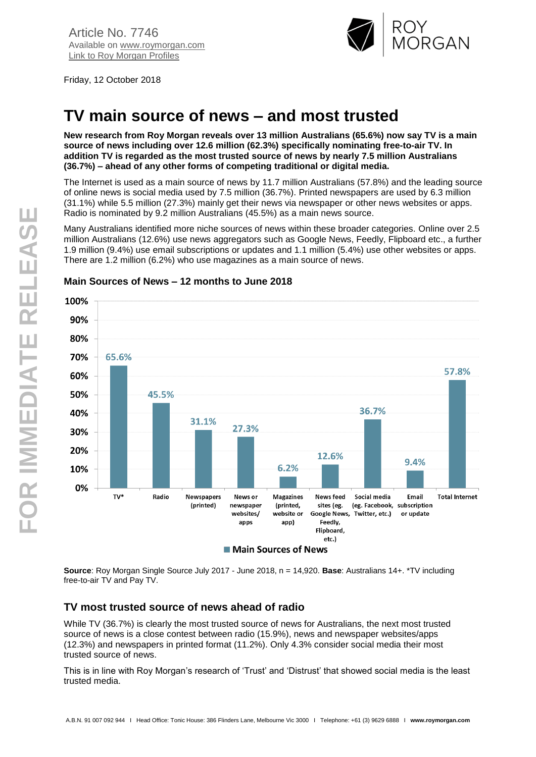

Friday, 12 October 2018

# **TV main source of news – and most trusted**

**New research from Roy Morgan reveals over 13 million Australians (65.6%) now say TV is a main source of news including over 12.6 million (62.3%) specifically nominating free-to-air TV. In addition TV is regarded as the most trusted source of news by nearly 7.5 million Australians (36.7%) – ahead of any other forms of competing traditional or digital media.**

The Internet is used as a main source of news by 11.7 million Australians (57.8%) and the leading source of online news is social media used by 7.5 million (36.7%). Printed newspapers are used by 6.3 million (31.1%) while 5.5 million (27.3%) mainly get their news via newspaper or other news websites or apps. Radio is nominated by 9.2 million Australians (45.5%) as a main news source.

Many Australians identified more niche sources of news within these broader categories. Online over 2.5 million Australians (12.6%) use news aggregators such as Google News, Feedly, Flipboard etc., a further 1.9 million (9.4%) use email subscriptions or updates and 1.1 million (5.4%) use other websites or apps. There are 1.2 million (6.2%) who use magazines as a main source of news.



## **Main Sources of News – 12 months to June 2018**

**Source**: Roy Morgan Single Source July 2017 - June 2018, n = 14,920. **Base**: Australians 14+. \*TV including free-to-air TV and Pay TV.

# **TV most trusted source of news ahead of radio**

While TV (36.7%) is clearly the most trusted source of news for Australians, the next most trusted source of news is a close contest between radio (15.9%), news and newspaper websites/apps (12.3%) and newspapers in printed format (11.2%). Only 4.3% consider social media their most trusted source of news.

This is in line with Roy Morgan's research of 'Trust' and 'Distrust' that showed social media is the least trusted media.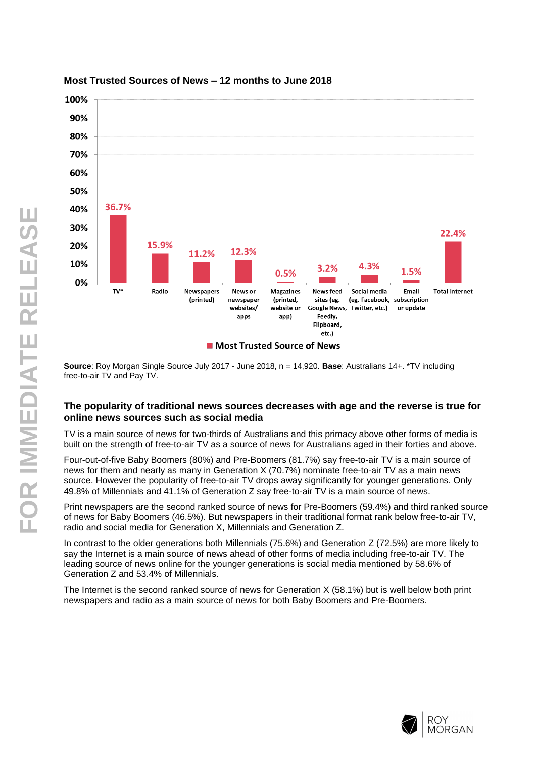

#### **Most Trusted Sources of News – 12 months to June 2018**

**Source**: Roy Morgan Single Source July 2017 - June 2018, n = 14,920. **Base**: Australians 14+. \*TV including free-to-air TV and Pay TV.

#### **The popularity of traditional news sources decreases with age and the reverse is true for online news sources such as social media**

TV is a main source of news for two-thirds of Australians and this primacy above other forms of media is built on the strength of free-to-air TV as a source of news for Australians aged in their forties and above.

Four-out-of-five Baby Boomers (80%) and Pre-Boomers (81.7%) say free-to-air TV is a main source of news for them and nearly as many in Generation X (70.7%) nominate free-to-air TV as a main news source. However the popularity of free-to-air TV drops away significantly for younger generations. Only 49.8% of Millennials and 41.1% of Generation Z say free-to-air TV is a main source of news.

Print newspapers are the second ranked source of news for Pre-Boomers (59.4%) and third ranked source of news for Baby Boomers (46.5%). But newspapers in their traditional format rank below free-to-air TV, radio and social media for Generation X, Millennials and Generation Z.

In contrast to the older generations both Millennials (75.6%) and Generation Z (72.5%) are more likely to say the Internet is a main source of news ahead of other forms of media including free-to-air TV. The leading source of news online for the younger generations is social media mentioned by 58.6% of Generation Z and 53.4% of Millennials.

The Internet is the second ranked source of news for Generation X (58.1%) but is well below both print newspapers and radio as a main source of news for both Baby Boomers and Pre-Boomers.

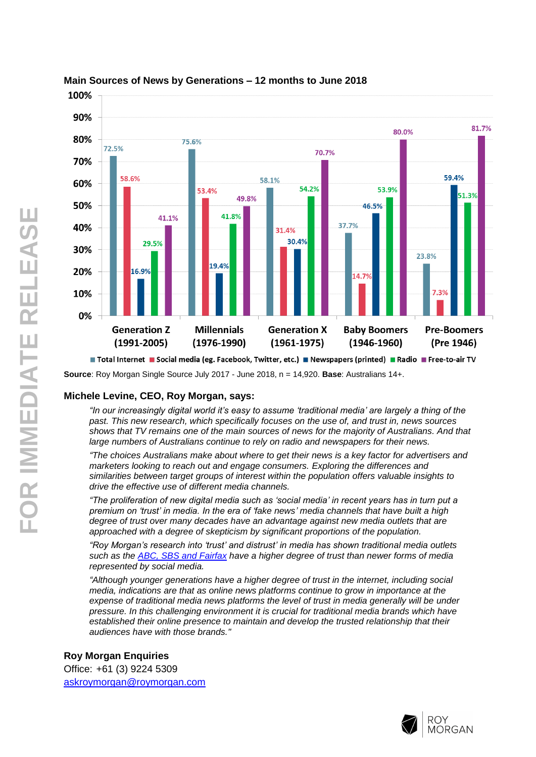

## **Main Sources of News by Generations – 12 months to June 2018**

**Source**: Roy Morgan Single Source July 2017 - June 2018, n = 14,920. **Base**: Australians 14+.

#### **Michele Levine, CEO, Roy Morgan, says:**

*"In our increasingly digital world it's easy to assume 'traditional media' are largely a thing of the past. This new research, which specifically focuses on the use of, and trust in, news sources shows that TV remains one of the main sources of news for the majority of Australians. And that large numbers of Australians continue to rely on radio and newspapers for their news.*

*"The choices Australians make about where to get their news is a key factor for advertisers and marketers looking to reach out and engage consumers. Exploring the differences and similarities between target groups of interest within the population offers valuable insights to drive the effective use of different media channels.*

*"The proliferation of new digital media such as 'social media' in recent years has in turn put a premium on 'trust' in media. In the era of 'fake news' media channels that have built a high degree of trust over many decades have an advantage against new media outlets that are approached with a degree of skepticism by significant proportions of the population.*

*"Roy Morgan's research into 'trust' and distrust' in media has shown traditional media outlets such as the [ABC, SBS and Fairfax](http://www.roymorgan.com/findings/7641-media-net-trust-june-2018-201806260239) have a higher degree of trust than newer forms of media represented by social media.*

*"Although younger generations have a higher degree of trust in the internet, including social media, indications are that as online news platforms continue to grow in importance at the expense of traditional media news platforms the level of trust in media generally will be under pressure. In this challenging environment it is crucial for traditional media brands which have established their online presence to maintain and develop the trusted relationship that their audiences have with those brands."*

**Roy Morgan Enquiries** Office: +61 (3) 9224 5309 [askroymorgan@roymorgan.com](mailto:askroymorgan@roymorgan.com)